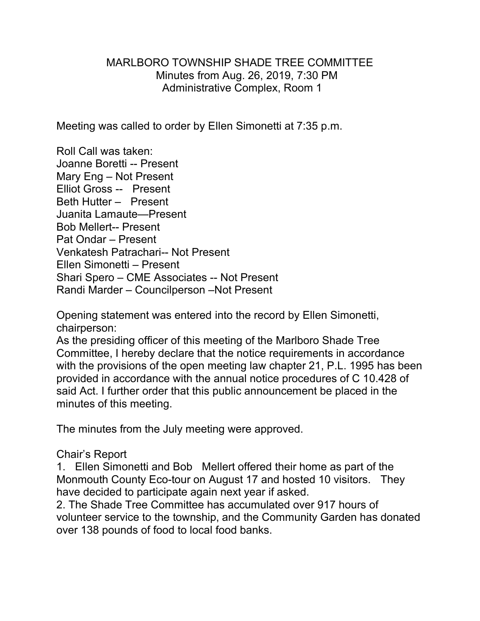## MARLBORO TOWNSHIP SHADE TREE COMMITTEE Minutes from Aug. 26, 2019, 7:30 PM Administrative Complex, Room 1

Meeting was called to order by Ellen Simonetti at 7:35 p.m.

Roll Call was taken: Joanne Boretti -- Present Mary Eng – Not Present Elliot Gross -- Present Beth Hutter – Present Juanita Lamaute—Present Bob Mellert-- Present Pat Ondar – Present Venkatesh Patrachari-- Not Present Ellen Simonetti – Present Shari Spero – CME Associates -- Not Present Randi Marder – Councilperson –Not Present

Opening statement was entered into the record by Ellen Simonetti, chairperson:

As the presiding officer of this meeting of the Marlboro Shade Tree Committee, I hereby declare that the notice requirements in accordance with the provisions of the open meeting law chapter 21, P.L. 1995 has been provided in accordance with the annual notice procedures of C 10.428 of said Act. I further order that this public announcement be placed in the minutes of this meeting.

The minutes from the July meeting were approved.

## Chair's Report

1. Ellen Simonetti and Bob Mellert offered their home as part of the Monmouth County Eco-tour on August 17 and hosted 10 visitors. They have decided to participate again next year if asked.

2. The Shade Tree Committee has accumulated over 917 hours of volunteer service to the township, and the Community Garden has donated over 138 pounds of food to local food banks.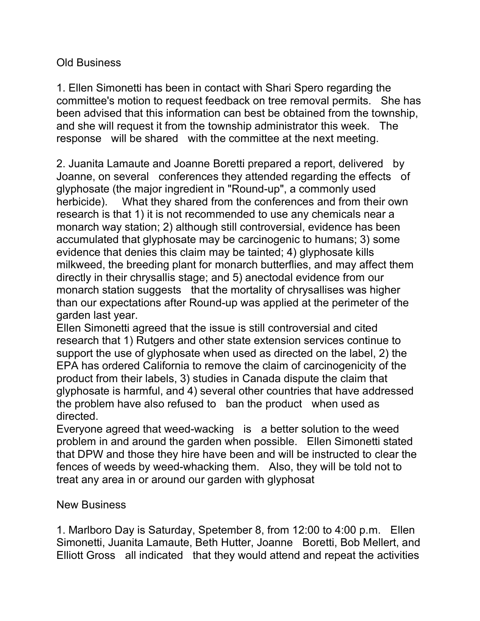## Old Business

1. Ellen Simonetti has been in contact with Shari Spero regarding the committee's motion to request feedback on tree removal permits. She has been advised that this information can best be obtained from the township, and she will request it from the township administrator this week. The response will be shared with the committee at the next meeting.

2. Juanita Lamaute and Joanne Boretti prepared a report, delivered by Joanne, on several conferences they attended regarding the effects of glyphosate (the major ingredient in "Round-up", a commonly used herbicide). What they shared from the conferences and from their own research is that 1) it is not recommended to use any chemicals near a monarch way station; 2) although still controversial, evidence has been accumulated that glyphosate may be carcinogenic to humans; 3) some evidence that denies this claim may be tainted; 4) glyphosate kills milkweed, the breeding plant for monarch butterflies, and may affect them directly in their chrysallis stage; and 5) anectodal evidence from our monarch station suggests that the mortality of chrysallises was higher than our expectations after Round-up was applied at the perimeter of the garden last year.

Ellen Simonetti agreed that the issue is still controversial and cited research that 1) Rutgers and other state extension services continue to support the use of glyphosate when used as directed on the label, 2) the EPA has ordered California to remove the claim of carcinogenicity of the product from their labels, 3) studies in Canada dispute the claim that glyphosate is harmful, and 4) several other countries that have addressed the problem have also refused to ban the product when used as directed.

Everyone agreed that weed-wacking is a better solution to the weed problem in and around the garden when possible. Ellen Simonetti stated that DPW and those they hire have been and will be instructed to clear the fences of weeds by weed-whacking them. Also, they will be told not to treat any area in or around our garden with glyphosat

## New Business

1. Marlboro Day is Saturday, Spetember 8, from 12:00 to 4:00 p.m. Ellen Simonetti, Juanita Lamaute, Beth Hutter, Joanne Boretti, Bob Mellert, and Elliott Gross all indicated that they would attend and repeat the activities